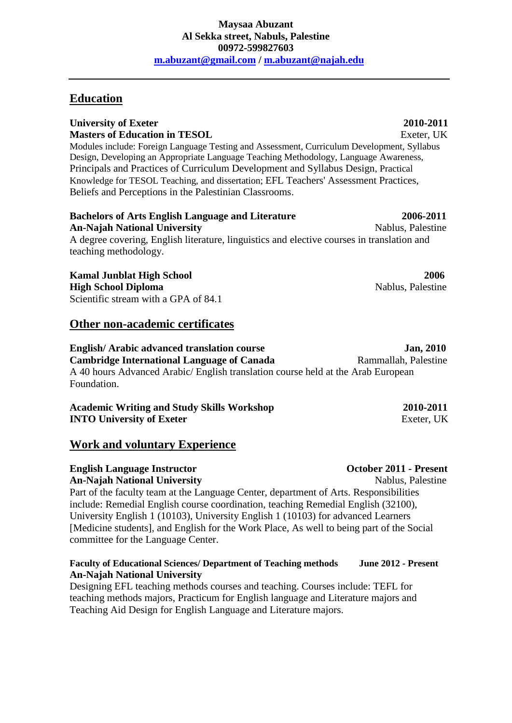## **Education**

## **University of Exeter 2010-2011 Masters of Education in TESOL** Exeter, UK

Modules include: Foreign Language Testing and Assessment, Curriculum Development, Syllabus Design, Developing an Appropriate Language Teaching Methodology, Language Awareness, Principals and Practices of Curriculum Development and Syllabus Design, Practical Knowledge for TESOL Teaching, and dissertation; EFL Teachers' Assessment Practices, Beliefs and Perceptions in the Palestinian Classrooms.

## **Bachelors of Arts English Language and Literature 2006-2011 An-Najah National University** Nablus, Palestine A degree covering, English literature, linguistics and elective courses in translation and

**Kamal Junblat High School 2006 High School Diploma** Nablus, Palestine Scientific stream with a GPA of 84.1

teaching methodology.

## **Other non-academic certificates**

## **English/Arabic advanced translation course Jan, 2010**

**Cambridge International Language of Canada** Rammallah, Palestine A 40 hours Advanced Arabic/ English translation course held at the Arab European Foundation.

## **Academic Writing and Study Skills Workshop 2010-2011 INTO University of Exeter Exeter** Exeter, UK

## **Work and voluntary Experience**

# **English Language Instructor October 2011 - Present**

**An-Najah National University** Nablus, Palestine Part of the faculty team at the Language Center, department of Arts. Responsibilities include: Remedial English course coordination, teaching Remedial English (32100), University English 1 (10103), University English 1 (10103) for advanced Learners [Medicine students], and English for the Work Place, As well to being part of the Social committee for the Language Center.

## **Faculty of Educational Sciences/ Department of Teaching methods June 2012 - Present An-Najah National University**

Designing EFL teaching methods courses and teaching. Courses include: TEFL for teaching methods majors, Practicum for English language and Literature majors and Teaching Aid Design for English Language and Literature majors.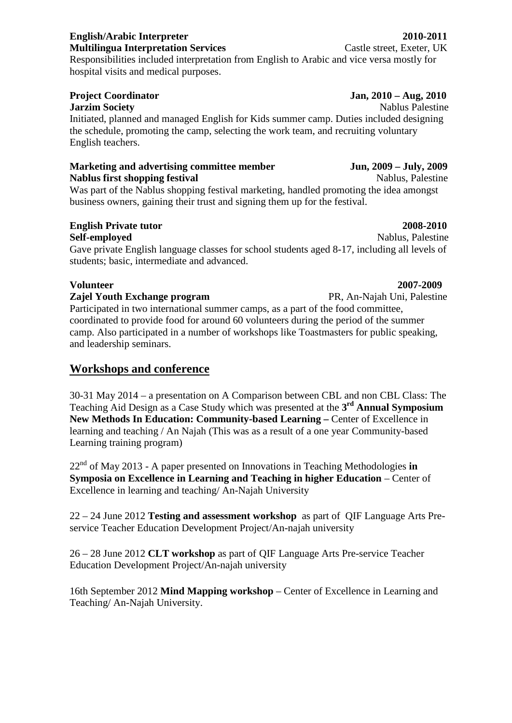Responsibilities included interpretation from English to Arabic and vice versa mostly for hospital visits and medical purposes.

**Jarzim Society** Nablus Palestine Initiated, planned and managed English for Kids summer camp. Duties included designing the schedule, promoting the camp, selecting the work team, and recruiting voluntary English teachers.

## **Marketing and advertising committee member Jun, 2009 – July, 2009 Nablus first shopping festival** Nablus, Palestine Nablus, Palestine

Was part of the Nablus shopping festival marketing, handled promoting the idea amongst business owners, gaining their trust and signing them up for the festival.

# **English Private tutor 2008-2010**

**Self-employed** Nablus, Palestine Gave private English language classes for school students aged 8-17, including all levels of students; basic, intermediate and advanced.

## **Volunteer 2007-2009**

## **Zajel Youth Exchange program** PR, An-Najah Uni, Palestine

Participated in two international summer camps, as a part of the food committee, coordinated to provide food for around 60 volunteers during the period of the summer camp. Also participated in a number of workshops like Toastmasters for public speaking, and leadership seminars.

# **Workshops and conference**

30-31 May 2014 – a presentation on A Comparison between CBL and non CBL Class: The Teaching Aid Design as a Case Study which was presented at the **3 rd Annual Symposium New Methods In Education: Community-based Learning –** Center of Excellence in learning and teaching / An Najah (This was as a result of a one year Community-based Learning training program)

22nd of May 2013 - A paper presented on Innovations in Teaching Methodologies **in Symposia on Excellence in Learning and Teaching in higher Education** – Center of Excellence in learning and teaching/ An-Najah University

22 – 24 June 2012 **Testing and assessment workshop** as part of QIF Language Arts Pre service Teacher Education Development Project/An-najah university

26 – 28 June 2012 **CLT workshop** as part of QIF Language Arts Pre-service Teacher Education Development Project/An-najah university

16th September 2012 **Mind Mapping workshop** – Center of Excellence in Learning and Teaching/ An-Najah University.

# **English/Arabic Interpreter 2010-2011**

**Multilingua Interpretation Services** Castle street, Exeter, UK

## **Project Coordinator Jan, 2010 – Aug, 2010**